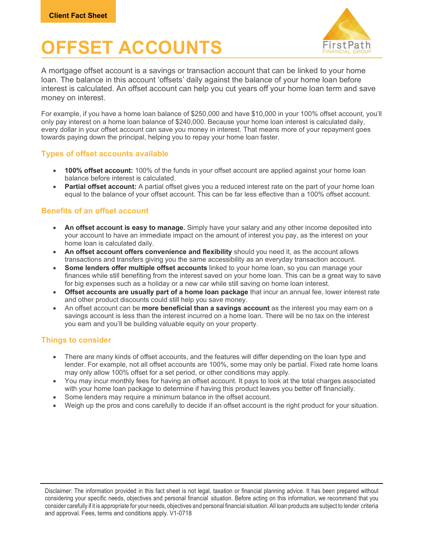# **PESET ACCOUNTS**



A mortgage offset account is a savings or transaction account that can be linked to your home loan. The balance in this account 'offsets' daily against the balance of your home loan before interest is calculated. An offset account can help you cut years off your home loan term and save money on interest.

For example, if you have a home loan balance of \$250,000 and have \$10,000 in your 100% offset account, you'll only pay interest on a home loan balance of \$240,000. Because your home loan interest is calculated daily, every dollar in your offset account can save you money in interest. That means more of your repayment goes towards paying down the principal, helping you to repay your home loan faster.

## Types of offset accounts available

- 100% offset account: 100% of the funds in your offset account are applied against your home loan balance before interest is calculated.
- Partial offset account: A partial offset gives you a reduced interest rate on the part of your home loan equal to the balance of your offset account. This can be far less effective than a 100% offset account.

### Benefits of an offset account

- An offset account is easy to manage. Simply have your salary and any other income deposited into your account to have an immediate impact on the amount of interest you pay, as the interest on your home loan is calculated daily.
- An offset account offers convenience and flexibility should you need it, as the account allows transactions and transfers giving you the same accessibility as an everyday transaction account.
- Some lenders offer multiple offset accounts linked to your home loan, so you can manage your finances while still benefiting from the interest saved on your home loan. This can be a great way to save for big expenses such as a holiday or a new car while still saving on home loan interest.
- Offset accounts are usually part of a home loan package that incur an annual fee, lower interest rate and other product discounts could still help you save money.
- An offset account can be **more beneficial than a savings account** as the interest you may earn on a savings account is less than the interest incurred on a home loan. There will be no tax on the interest you earn and you'll be building valuable equity on your property.

## Things to consider

- There are many kinds of offset accounts, and the features will differ depending on the loan type and lender. For example, not all offset accounts are 100%, some may only be partial. Fixed rate home loans may only allow 100% offset for a set period, or other conditions may apply.
- You may incur monthly fees for having an offset account. It pays to look at the total charges associated with your home loan package to determine if having this product leaves you better off financially.
- Some lenders may require a minimum balance in the offset account.
- Weigh up the pros and cons carefully to decide if an offset account is the right product for your situation.

Disclaimer: The information provided in this fact sheet is not legal, taxation or financial planning advice. It has been prepared without considering your specific needs, objectives and personal financial situation. Before acting on this information, we recommend that you consider carefully if it is appropriate for your needs, objectives and personal financial situation. All loan products are subject to lender criteria and approval. Fees, terms and conditions apply. V1-0718